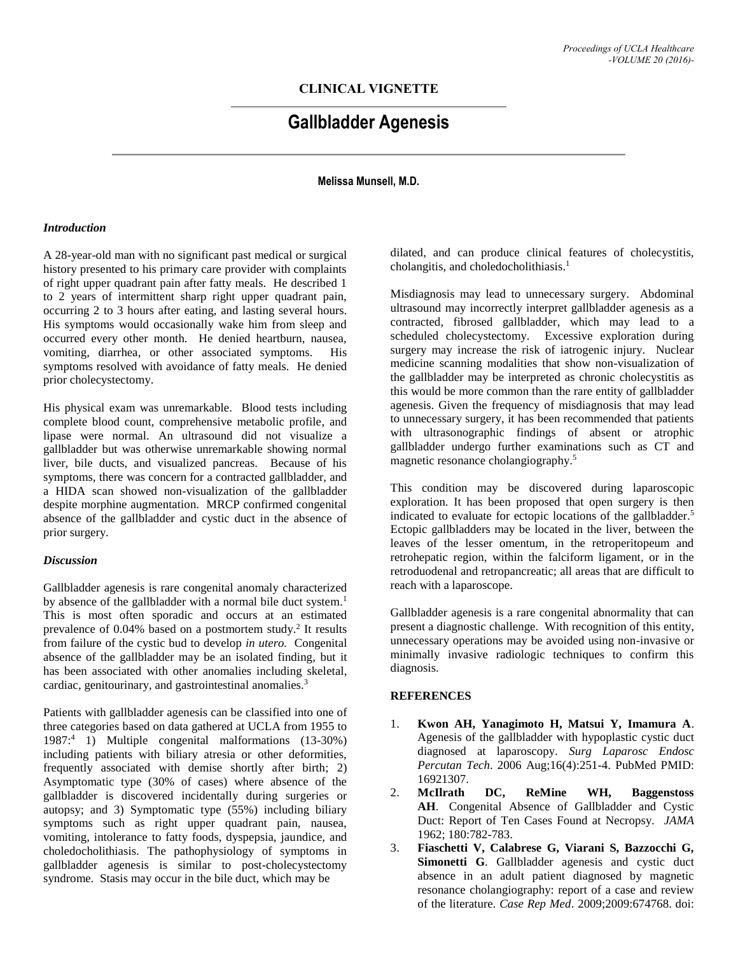# **CLINICAL VIGNETTE**

# **Gallbladder Agenesis**

**Melissa Munsell, M.D.**

#### *Introduction*

A 28-year-old man with no significant past medical or surgical history presented to his primary care provider with complaints of right upper quadrant pain after fatty meals. He described 1 to 2 years of intermittent sharp right upper quadrant pain, occurring 2 to 3 hours after eating, and lasting several hours. His symptoms would occasionally wake him from sleep and occurred every other month. He denied heartburn, nausea, vomiting, diarrhea, or other associated symptoms. His symptoms resolved with avoidance of fatty meals. He denied prior cholecystectomy.

His physical exam was unremarkable. Blood tests including complete blood count, comprehensive metabolic profile, and lipase were normal. An ultrasound did not visualize a gallbladder but was otherwise unremarkable showing normal liver, bile ducts, and visualized pancreas. Because of his symptoms, there was concern for a contracted gallbladder, and a HIDA scan showed non-visualization of the gallbladder despite morphine augmentation. MRCP confirmed congenital absence of the gallbladder and cystic duct in the absence of prior surgery.

## *Discussion*

Gallbladder agenesis is rare congenital anomaly characterized by absence of the gallbladder with a normal bile duct system.<sup>1</sup> This is most often sporadic and occurs at an estimated prevalence of 0.04% based on a postmortem study. 2 It results from failure of the cystic bud to develop *in utero.* Congenital absence of the gallbladder may be an isolated finding, but it has been associated with other anomalies including skeletal, cardiac, genitourinary, and gastrointestinal anomalies. 3

Patients with gallbladder agenesis can be classified into one of three categories based on data gathered at UCLA from 1955 to 1987: <sup>4</sup> 1) Multiple congenital malformations (13-30%) including patients with biliary atresia or other deformities, frequently associated with demise shortly after birth; 2) Asymptomatic type (30% of cases) where absence of the gallbladder is discovered incidentally during surgeries or autopsy; and 3) Symptomatic type (55%) including biliary symptoms such as right upper quadrant pain, nausea, vomiting, intolerance to fatty foods, dyspepsia, jaundice, and choledocholithiasis. The pathophysiology of symptoms in gallbladder agenesis is similar to post-cholecystectomy syndrome. Stasis may occur in the bile duct, which may be

dilated, and can produce clinical features of cholecystitis, cholangitis, and choledocholithiasis. 1

Misdiagnosis may lead to unnecessary surgery. Abdominal ultrasound may incorrectly interpret gallbladder agenesis as a contracted, fibrosed gallbladder, which may lead to a scheduled cholecystectomy. Excessive exploration during surgery may increase the risk of iatrogenic injury. Nuclear medicine scanning modalities that show non-visualization of the gallbladder may be interpreted as chronic cholecystitis as this would be more common than the rare entity of gallbladder agenesis. Given the frequency of misdiagnosis that may lead to unnecessary surgery, it has been recommended that patients with ultrasonographic findings of absent or atrophic gallbladder undergo further examinations such as CT and magnetic resonance cholangiography. 5

This condition may be discovered during laparoscopic exploration. It has been proposed that open surgery is then indicated to evaluate for ectopic locations of the gallbladder. 5 Ectopic gallbladders may be located in the liver, between the leaves of the lesser omentum, in the retroperitopeum and retrohepatic region, within the falciform ligament, or in the retroduodenal and retropancreatic; all areas that are difficult to reach with a laparoscope.

Gallbladder agenesis is a rare congenital abnormality that can present a diagnostic challenge. With recognition of this entity, unnecessary operations may be avoided using non-invasive or minimally invasive radiologic techniques to confirm this diagnosis.

## **REFERENCES**

- 1. **Kwon AH, Yanagimoto H, Matsui Y, Imamura A**. Agenesis of the gallbladder with hypoplastic cystic duct diagnosed at laparoscopy. *Surg Laparosc Endosc Percutan Tech*. 2006 Aug;16(4):251-4. PubMed PMID: 16921307.
- 2. **McIlrath DC, ReMine WH, Baggenstoss AH**. Congenital Absence of Gallbladder and Cystic Duct: Report of Ten Cases Found at Necropsy. *JAMA* 1962; 180:782-783.
- 3. **Fiaschetti V, Calabrese G, Viarani S, Bazzocchi G, Simonetti G**. Gallbladder agenesis and cystic duct absence in an adult patient diagnosed by magnetic resonance cholangiography: report of a case and review of the literature. *Case Rep Med*. 2009;2009:674768. doi: